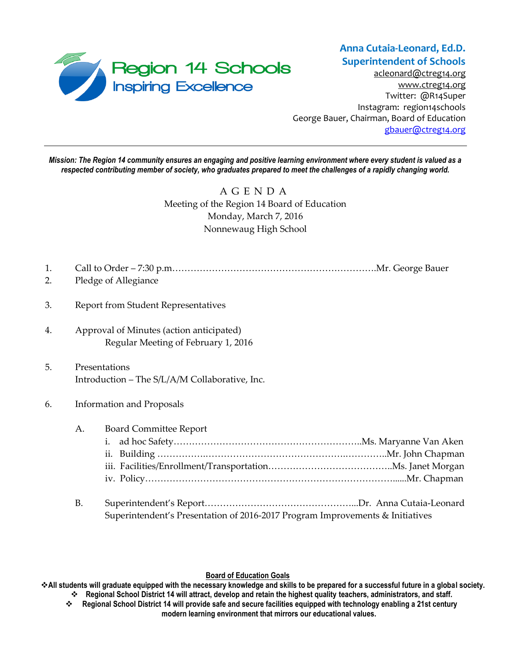

[acleonard@ctreg14.org](mailto:acleonard@ctreg14.org) [www.ctreg14.org](http://www.ctreg14.org/) Twitter: @R14Super Instagram: region14schools George Bauer, Chairman, Board of Education [gbauer@ctreg14.org](mailto:gbauer@ctreg14.org)

*Mission: The Region 14 community ensures an engaging and positive learning environment where every student is valued as a respected contributing member of society, who graduates prepared to meet the challenges of a rapidly changing world.*

# A G E N D A Meeting of the Region 14 Board of Education Monday, March 7, 2016 Nonnewaug High School

- 1. Call to Order 7:30 p.m………………………………………………………….Mr. George Bauer
- 2. Pledge of Allegiance
- 3. Report from Student Representatives
- 4. Approval of Minutes (action anticipated) Regular Meeting of February 1, 2016
- 5. Presentations Introduction – The S/L/A/M Collaborative, Inc.
- 6. Information and Proposals
	- A. Board Committee Report

B. Superintendent's Report…………………………………………...Dr. Anna Cutaia-Leonard Superintendent's Presentation of 2016-2017 Program Improvements & Initiatives

### **Board of Education Goals**

**All students will graduate equipped with the necessary knowledge and skills to be prepared for a successful future in a global society. Regional School District 14 will attract, develop and retain the highest quality teachers, administrators, and staff.**

 **Regional School District 14 will provide safe and secure facilities equipped with technology enabling a 21st century modern learning environment that mirrors our educational values.**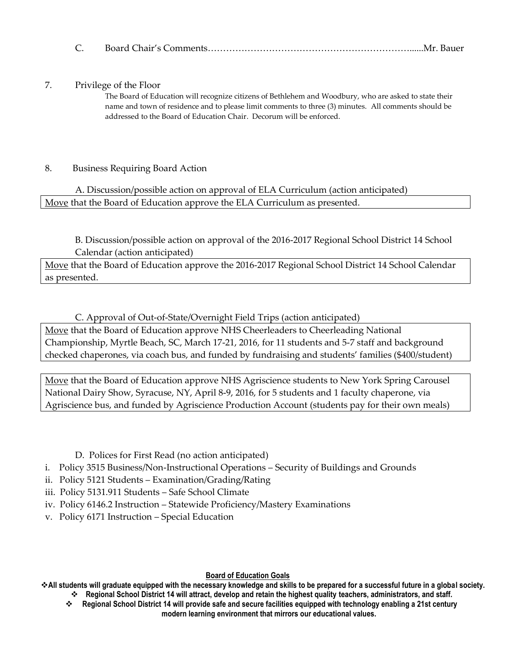## 7. Privilege of the Floor

The Board of Education will recognize citizens of Bethlehem and Woodbury, who are asked to state their name and town of residence and to please limit comments to three (3) minutes. All comments should be addressed to the Board of Education Chair. Decorum will be enforced.

## 8. Business Requiring Board Action

A. Discussion/possible action on approval of ELA Curriculum (action anticipated) Move that the Board of Education approve the ELA Curriculum as presented.

B. Discussion/possible action on approval of the 2016-2017 Regional School District 14 School Calendar (action anticipated)

Move that the Board of Education approve the 2016-2017 Regional School District 14 School Calendar as presented.

C. Approval of Out-of-State/Overnight Field Trips (action anticipated) Move that the Board of Education approve NHS Cheerleaders to Cheerleading National Championship, Myrtle Beach, SC, March 17-21, 2016, for 11 students and 5-7 staff and background checked chaperones, via coach bus, and funded by fundraising and students' families (\$400/student)

Move that the Board of Education approve NHS Agriscience students to New York Spring Carousel National Dairy Show, Syracuse, NY, April 8-9, 2016, for 5 students and 1 faculty chaperone, via Agriscience bus, and funded by Agriscience Production Account (students pay for their own meals)

## D. Polices for First Read (no action anticipated)

- i. Policy 3515 Business/Non-Instructional Operations Security of Buildings and Grounds
- ii. Policy 5121 Students Examination/Grading/Rating
- iii. Policy 5131.911 Students Safe School Climate
- iv. Policy 6146.2 Instruction Statewide Proficiency/Mastery Examinations
- v. Policy 6171 Instruction Special Education

### **Board of Education Goals**

**All students will graduate equipped with the necessary knowledge and skills to be prepared for a successful future in a global society. Regional School District 14 will attract, develop and retain the highest quality teachers, administrators, and staff.**

 **Regional School District 14 will provide safe and secure facilities equipped with technology enabling a 21st century modern learning environment that mirrors our educational values.**